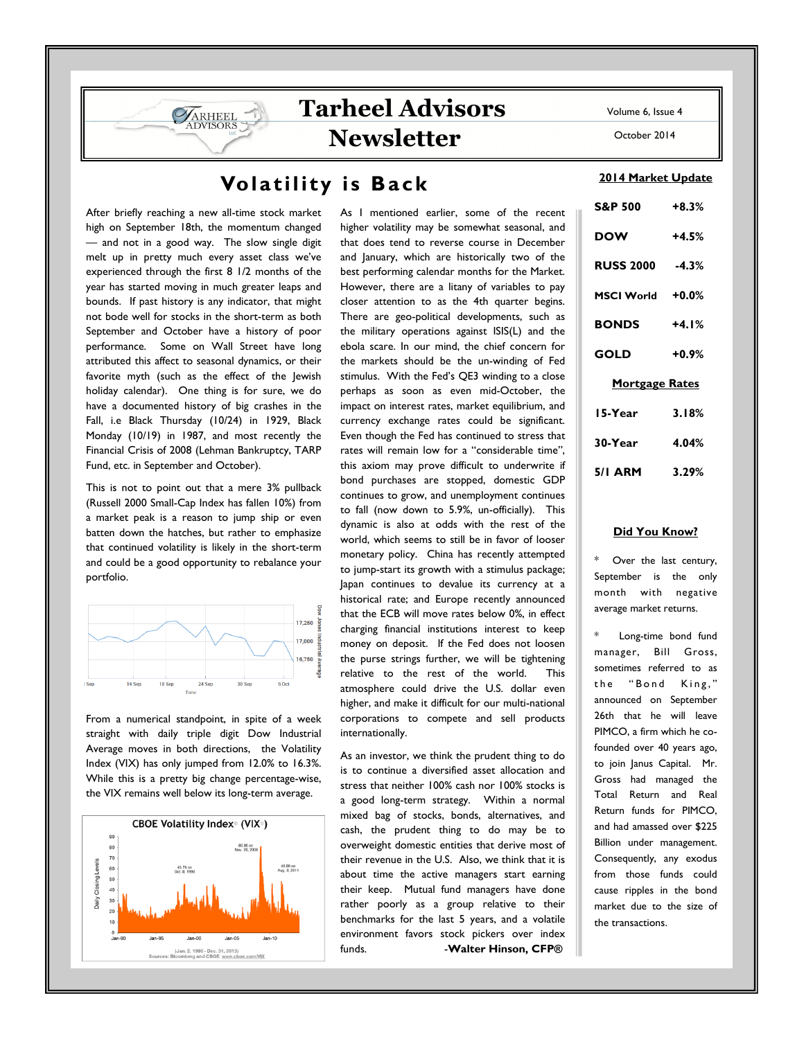October 2014

# Volatility is Back

Tarheel Advisors

Newsletter

After briefly reaching a new all-time stock market high on September 18th, the momentum changed — and not in a good way. The slow single digit melt up in pretty much every asset class we've experienced through the first 8 1/2 months of the year has started moving in much greater leaps and bounds. If past history is any indicator, that might not bode well for stocks in the short-term as both September and October have a history of poor performance. Some on Wall Street have long attributed this affect to seasonal dynamics, or their favorite myth (such as the effect of the Jewish holiday calendar). One thing is for sure, we do have a documented history of big crashes in the Fall, i.e Black Thursday (10/24) in 1929, Black Monday (10/19) in 1987, and most recently the Financial Crisis of 2008 (Lehman Bankruptcy, TARP Fund, etc. in September and October).

**VARHEEL IDVISORS** 

This is not to point out that a mere 3% pullback (Russell 2000 Small-Cap Index has fallen 10%) from a market peak is a reason to jump ship or even batten down the hatches, but rather to emphasize that continued volatility is likely in the short-term and could be a good opportunity to rebalance your portfolio.



From a numerical standpoint, in spite of a week straight with daily triple digit Dow Industrial Average moves in both directions, the Volatility Index (VIX) has only jumped from 12.0% to 16.3%. While this is a pretty big change percentage-wise, the VIX remains well below its long-term average.



As I mentioned earlier, some of the recent higher volatility may be somewhat seasonal, and that does tend to reverse course in December and January, which are historically two of the best performing calendar months for the Market. However, there are a litany of variables to pay closer attention to as the 4th quarter begins. There are geo-political developments, such as the military operations against ISIS(L) and the ebola scare. In our mind, the chief concern for the markets should be the un-winding of Fed stimulus. With the Fed's QE3 winding to a close perhaps as soon as even mid-October, the impact on interest rates, market equilibrium, and currency exchange rates could be significant. Even though the Fed has continued to stress that rates will remain low for a "considerable time", this axiom may prove difficult to underwrite if bond purchases are stopped, domestic GDP continues to grow, and unemployment continues to fall (now down to 5.9%, un-officially). This dynamic is also at odds with the rest of the world, which seems to still be in favor of looser monetary policy. China has recently attempted to jump-start its growth with a stimulus package; Japan continues to devalue its currency at a historical rate; and Europe recently announced that the ECB will move rates below 0%, in effect charging financial institutions interest to keep money on deposit. If the Fed does not loosen the purse strings further, we will be tightening relative to the rest of the world. This atmosphere could drive the U.S. dollar even higher, and make it difficult for our multi-national corporations to compete and sell products internationally.

As an investor, we think the prudent thing to do is to continue a diversified asset allocation and stress that neither 100% cash nor 100% stocks is a good long-term strategy. Within a normal mixed bag of stocks, bonds, alternatives, and cash, the prudent thing to do may be to overweight domestic entities that derive most of their revenue in the U.S. Also, we think that it is about time the active managers start earning their keep. Mutual fund managers have done rather poorly as a group relative to their benchmarks for the last 5 years, and a volatile environment favors stock pickers over index funds. **-Walter Hinson, CFP**®

## 2014 Market Update

| <b>S&amp;P 500</b>    | $+8.3%$ |
|-----------------------|---------|
| <b>DOW</b>            | $+4.5%$ |
| RUSS 2000 -4.3%       |         |
| MSCI World +0.0%      |         |
| <b>BONDS</b>          | $+4.1%$ |
| GOLD                  | $+0.9%$ |
| <b>Mortgage Rates</b> |         |
| 15-Year               | 3.18%   |
| 30-Year               | 4.04%   |
| 5/1 ARM 3.29%         |         |

### Did You Know?

\* Over the last century, September is the only month with negative average market returns.

Long-time bond fund manager, Bill Gross, sometimes referred to as the "Bond King," announced on September 26th that he will leave PIMCO, a firm which he cofounded over 40 years ago, to join Janus Capital. Mr. Gross had managed the Total Return and Real Return funds for PIMCO, and had amassed over \$225 Billion under management. Consequently, any exodus from those funds could cause ripples in the bond market due to the size of the transactions.